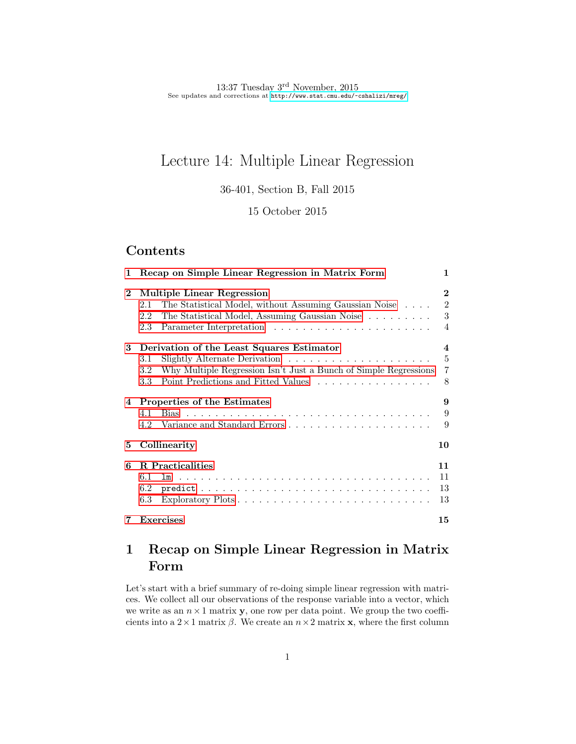# Lecture 14: Multiple Linear Regression

36-401, Section B, Fall 2015

## 15 October 2015

# Contents

| 1            | Recap on Simple Linear Regression in Matrix Form                                                                                                     | 1                                                    |
|--------------|------------------------------------------------------------------------------------------------------------------------------------------------------|------------------------------------------------------|
| $\mathbf{2}$ | Multiple Linear Regression<br>The Statistical Model, without Assuming Gaussian Noise<br>2.1<br>The Statistical Model, Assuming Gaussian Noise<br>2.2 | $\bf{2}$<br>$\overline{2}$<br>3                      |
|              | 2.3<br>3 Derivation of the Least Squares Estimator<br>3.1                                                                                            | $\overline{4}$<br>$\boldsymbol{4}$<br>$\overline{5}$ |
|              | Why Multiple Regression Isn't Just a Bunch of Simple Regressions<br>$3.2\,$<br>Point Predictions and Fitted Values<br>3.3                            | $\overline{7}$<br>8                                  |
|              | 4 Properties of the Estimates<br>4.1<br>Variance and Standard Errors<br>4.2                                                                          | 9<br>9<br>9                                          |
| 5            | Collinearity                                                                                                                                         | 10                                                   |
| 6            | <b>R</b> Practicalities<br>6.1<br>$6.2\,$<br>6.3                                                                                                     | 11<br>11<br>13<br>13                                 |
| 7            | <b>Exercises</b>                                                                                                                                     | 15                                                   |

# <span id="page-0-0"></span>1 Recap on Simple Linear Regression in Matrix Form

Let's start with a brief summary of re-doing simple linear regression with matrices. We collect all our observations of the response variable into a vector, which we write as an  $n \times 1$  matrix **y**, one row per data point. We group the two coefficients into a  $2 \times 1$  matrix  $\beta$ . We create an  $n \times 2$  matrix **x**, where the first column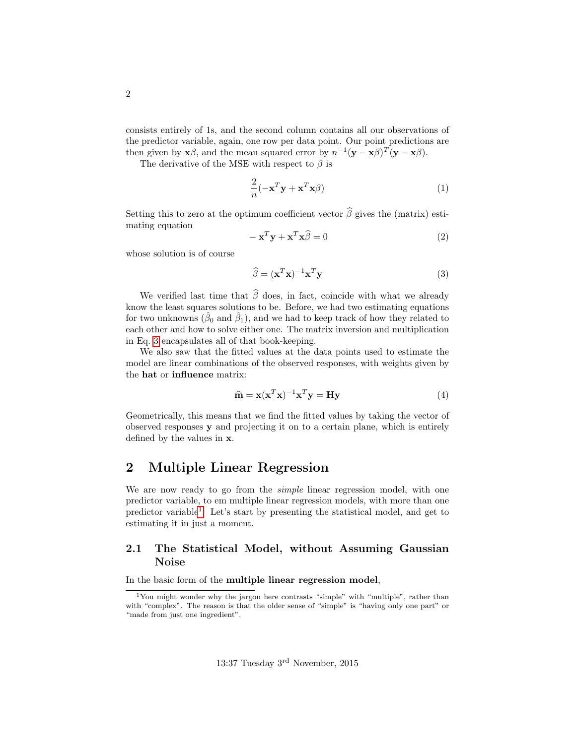consists entirely of 1s, and the second column contains all our observations of the predictor variable, again, one row per data point. Our point predictions are then given by  $\mathbf{x}\beta$ , and the mean squared error by  $n^{-1}(\mathbf{y}-\mathbf{x}\beta)^T(\mathbf{y}-\mathbf{x}\beta)$ .

The derivative of the MSE with respect to  $\beta$  is

$$
\frac{2}{n}(-\mathbf{x}^T\mathbf{y} + \mathbf{x}^T\mathbf{x}\beta)
$$
 (1)

Setting this to zero at the optimum coefficient vector  $\widehat{\beta}$  gives the (matrix) estimating equation

$$
-\mathbf{x}^T \mathbf{y} + \mathbf{x}^T \mathbf{x} \widehat{\beta} = 0
$$
 (2)

whose solution is of course

<span id="page-1-2"></span>
$$
\widehat{\beta} = (\mathbf{x}^T \mathbf{x})^{-1} \mathbf{x}^T \mathbf{y}
$$
\n(3)

We verified last time that  $\widehat{\beta}$  does, in fact, coincide with what we already know the least squares solutions to be. Before, we had two estimating equations for two unknowns  $(\hat{\beta}_0 \text{ and } \hat{\beta}_1)$ , and we had to keep track of how they related to each other and how to solve either one. The matrix inversion and multiplication in Eq. [3](#page-1-2) encapsulates all of that book-keeping.

We also saw that the fitted values at the data points used to estimate the model are linear combinations of the observed responses, with weights given by the hat or influence matrix:

$$
\widehat{\mathbf{m}} = \mathbf{x} (\mathbf{x}^T \mathbf{x})^{-1} \mathbf{x}^T \mathbf{y} = \mathbf{H} \mathbf{y}
$$
(4)

Geometrically, this means that we find the fitted values by taking the vector of observed responses y and projecting it on to a certain plane, which is entirely defined by the values in x.

## <span id="page-1-0"></span>2 Multiple Linear Regression

We are now ready to go from the simple linear regression model, with one predictor variable, to em multiple linear regression models, with more than one predictor variable[1](#page-1-3) . Let's start by presenting the statistical model, and get to estimating it in just a moment.

## <span id="page-1-1"></span>2.1 The Statistical Model, without Assuming Gaussian Noise

In the basic form of the multiple linear regression model,

<span id="page-1-3"></span><sup>1</sup>You might wonder why the jargon here contrasts "simple" with "multiple", rather than with "complex". The reason is that the older sense of "simple" is "having only one part" or "made from just one ingredient".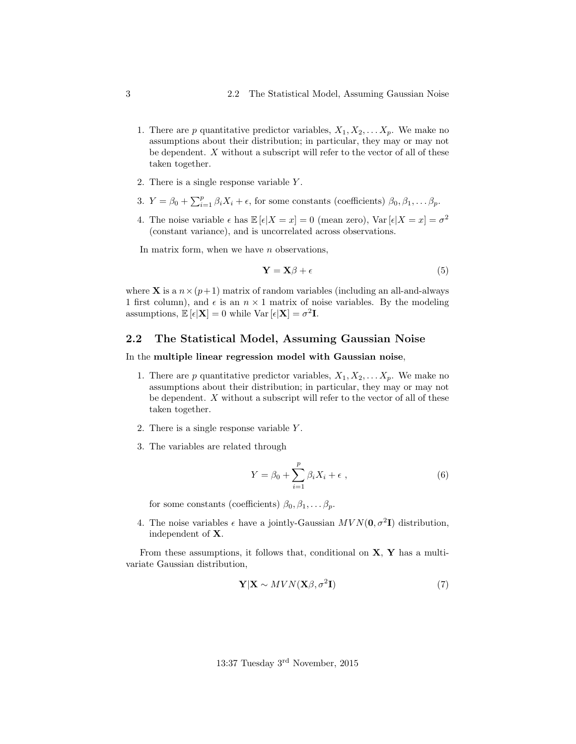- 1. There are p quantitative predictor variables,  $X_1, X_2, \ldots, X_p$ . We make no assumptions about their distribution; in particular, they may or may not be dependent. X without a subscript will refer to the vector of all of these taken together.
- 2. There is a single response variable Y .
- 3.  $Y = \beta_0 + \sum_{i=1}^p \beta_i X_i + \epsilon$ , for some constants (coefficients)  $\beta_0, \beta_1, \dots \beta_p$ .
- 4. The noise variable  $\epsilon$  has  $\mathbb{E}[\epsilon|X=x] = 0$  (mean zero),  $\text{Var}[\epsilon|X=x] = \sigma^2$ (constant variance), and is uncorrelated across observations.

In matrix form, when we have  $n$  observations,

$$
\mathbf{Y} = \mathbf{X}\boldsymbol{\beta} + \boldsymbol{\epsilon} \tag{5}
$$

where **X** is a  $n \times (p+1)$  matrix of random variables (including an all-and-always 1 first column), and  $\epsilon$  is an  $n \times 1$  matrix of noise variables. By the modeling assumptions,  $\mathbb{E}[\epsilon|\mathbf{X}] = 0$  while  $\text{Var}[\epsilon|\mathbf{X}] = \sigma^2 \mathbf{I}$ .

### <span id="page-2-0"></span>2.2 The Statistical Model, Assuming Gaussian Noise

#### In the multiple linear regression model with Gaussian noise,

- 1. There are p quantitative predictor variables,  $X_1, X_2, \ldots X_p$ . We make no assumptions about their distribution; in particular, they may or may not be dependent. X without a subscript will refer to the vector of all of these taken together.
- 2. There is a single response variable Y .
- 3. The variables are related through

$$
Y = \beta_0 + \sum_{i=1}^p \beta_i X_i + \epsilon \t{,} \t(6)
$$

for some constants (coefficients)  $\beta_0, \beta_1, \ldots \beta_p$ .

4. The noise variables  $\epsilon$  have a jointly-Gaussian  $MVN(\mathbf{0}, \sigma^2\mathbf{I})$  distribution, independent of X.

From these assumptions, it follows that, conditional on  $X, Y$  has a multivariate Gaussian distribution,

$$
\mathbf{Y}|\mathbf{X} \sim MVN(\mathbf{X}\beta, \sigma^2 \mathbf{I})\tag{7}
$$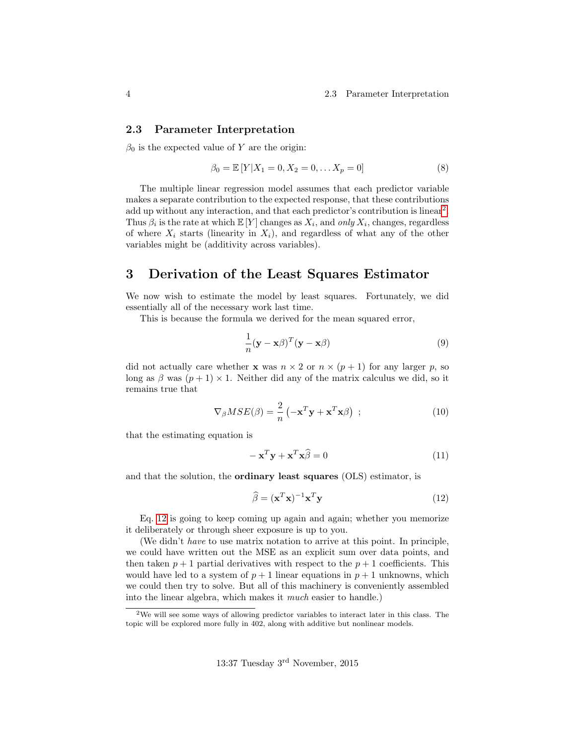#### <span id="page-3-0"></span>2.3 Parameter Interpretation

 $\beta_0$  is the expected value of Y are the origin:

$$
\beta_0 = \mathbb{E}[Y|X_1 = 0, X_2 = 0, \dots X_p = 0]
$$
\n(8)

The multiple linear regression model assumes that each predictor variable makes a separate contribution to the expected response, that these contributions add up without any interaction, and that each predictor's contribution is linear<sup>[2](#page-3-2)</sup>. Thus  $\beta_i$  is the rate at which  $\mathbb{E}[Y]$  changes as  $X_i$ , and only  $X_i$ , changes, regardless of where  $X_i$  starts (linearity in  $X_i$ ), and regardless of what any of the other variables might be (additivity across variables).

## <span id="page-3-1"></span>3 Derivation of the Least Squares Estimator

We now wish to estimate the model by least squares. Fortunately, we did essentially all of the necessary work last time.

This is because the formula we derived for the mean squared error,

$$
\frac{1}{n}(\mathbf{y} - \mathbf{x}\beta)^T(\mathbf{y} - \mathbf{x}\beta)
$$
\n(9)

did not actually care whether **x** was  $n \times 2$  or  $n \times (p+1)$  for any larger p, so long as  $\beta$  was  $(p+1) \times 1$ . Neither did any of the matrix calculus we did, so it remains true that

$$
\nabla_{\beta} MSE(\beta) = \frac{2}{n} \left( -\mathbf{x}^T \mathbf{y} + \mathbf{x}^T \mathbf{x} \beta \right) ; \qquad (10)
$$

that the estimating equation is

$$
-\mathbf{x}^T \mathbf{y} + \mathbf{x}^T \mathbf{x} \widehat{\beta} = 0 \tag{11}
$$

and that the solution, the ordinary least squares (OLS) estimator, is

<span id="page-3-3"></span>
$$
\widehat{\beta} = (\mathbf{x}^T \mathbf{x})^{-1} \mathbf{x}^T \mathbf{y}
$$
\n(12)

Eq. [12](#page-3-3) is going to keep coming up again and again; whether you memorize it deliberately or through sheer exposure is up to you.

(We didn't have to use matrix notation to arrive at this point. In principle, we could have written out the MSE as an explicit sum over data points, and then taken  $p + 1$  partial derivatives with respect to the  $p + 1$  coefficients. This would have led to a system of  $p + 1$  linear equations in  $p + 1$  unknowns, which we could then try to solve. But all of this machinery is conveniently assembled into the linear algebra, which makes it much easier to handle.)

<span id="page-3-2"></span><sup>2</sup>We will see some ways of allowing predictor variables to interact later in this class. The topic will be explored more fully in 402, along with additive but nonlinear models.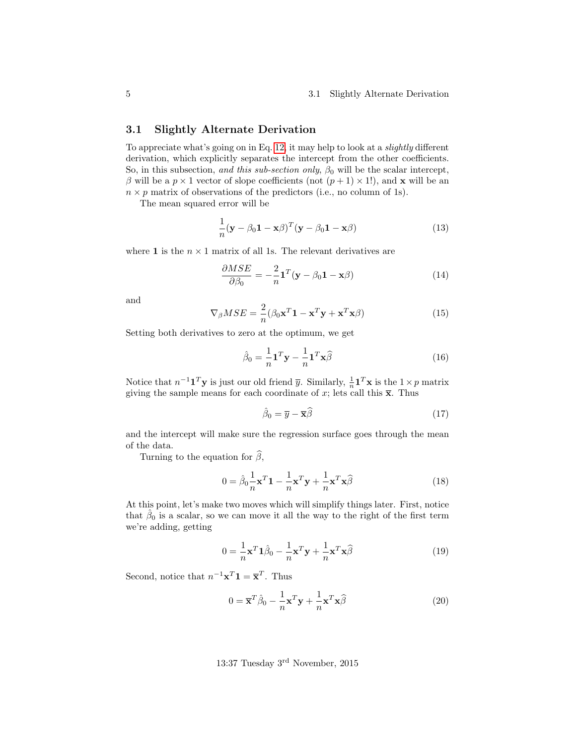#### 5 3.1 Slightly Alternate Derivation

### <span id="page-4-0"></span>3.1 Slightly Alternate Derivation

To appreciate what's going on in Eq. [12,](#page-3-3) it may help to look at a slightly different derivation, which explicitly separates the intercept from the other coefficients. So, in this subsection, and this sub-section only,  $\beta_0$  will be the scalar intercept, β will be a  $p \times 1$  vector of slope coefficients (not  $(p+1) \times 1$ ), and **x** will be an  $n \times p$  matrix of observations of the predictors (i.e., no column of 1s).

The mean squared error will be

$$
\frac{1}{n}(\mathbf{y} - \beta_0 \mathbf{1} - \mathbf{x}\beta)^T (\mathbf{y} - \beta_0 \mathbf{1} - \mathbf{x}\beta)
$$
 (13)

where **1** is the  $n \times 1$  matrix of all 1s. The relevant derivatives are

$$
\frac{\partial MSE}{\partial \beta_0} = -\frac{2}{n} \mathbf{1}^T (\mathbf{y} - \beta_0 \mathbf{1} - \mathbf{x}\beta)
$$
(14)

and

$$
\nabla_{\beta} MSE = \frac{2}{n} (\beta_0 \mathbf{x}^T \mathbf{1} - \mathbf{x}^T \mathbf{y} + \mathbf{x}^T \mathbf{x} \beta)
$$
(15)

Setting both derivatives to zero at the optimum, we get

$$
\hat{\beta}_0 = \frac{1}{n} \mathbf{1}^T \mathbf{y} - \frac{1}{n} \mathbf{1}^T \mathbf{x} \hat{\beta}
$$
 (16)

Notice that  $n^{-1} \mathbf{1}^T \mathbf{y}$  is just our old friend  $\overline{y}$ . Similarly,  $\frac{1}{n} \mathbf{1}^T \mathbf{x}$  is the  $1 \times p$  matrix giving the sample means for each coordinate of x; lets call this  $\bar{x}$ . Thus

<span id="page-4-1"></span>
$$
\hat{\beta}_0 = \overline{y} - \overline{\mathbf{x}} \hat{\beta} \tag{17}
$$

and the intercept will make sure the regression surface goes through the mean of the data.

Turning to the equation for  $\widehat{\beta}$ ,

$$
0 = \hat{\beta}_0 \frac{1}{n} \mathbf{x}^T \mathbf{1} - \frac{1}{n} \mathbf{x}^T \mathbf{y} + \frac{1}{n} \mathbf{x}^T \mathbf{x} \hat{\beta}
$$
(18)

At this point, let's make two moves which will simplify things later. First, notice that  $\hat{\beta}_0$  is a scalar, so we can move it all the way to the right of the first term we're adding, getting

$$
0 = \frac{1}{n}\mathbf{x}^T \mathbf{1}\hat{\beta}_0 - \frac{1}{n}\mathbf{x}^T \mathbf{y} + \frac{1}{n}\mathbf{x}^T \mathbf{x}\hat{\beta}
$$
 (19)

Second, notice that  $n^{-1}\mathbf{x}^T\mathbf{1} = \overline{\mathbf{x}}^T$ . Thus

$$
0 = \overline{\mathbf{x}}^T \hat{\beta}_0 - \frac{1}{n} \mathbf{x}^T \mathbf{y} + \frac{1}{n} \mathbf{x}^T \mathbf{x} \hat{\beta}
$$
 (20)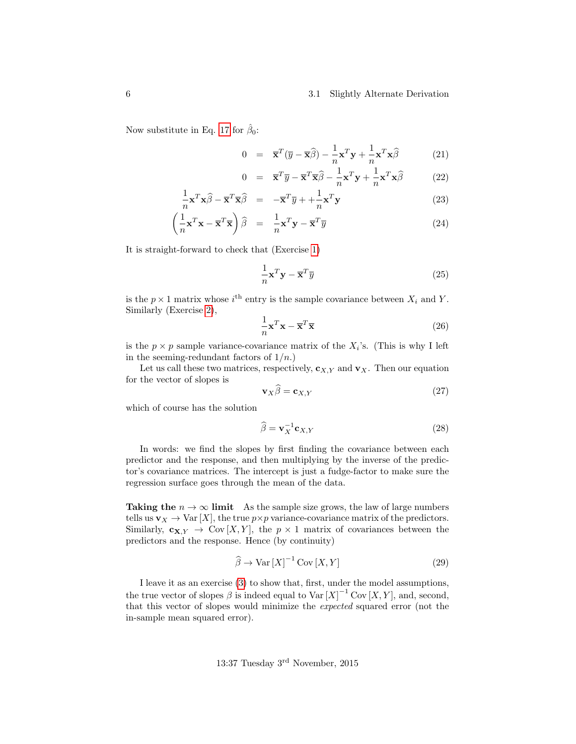#### 6 3.1 Slightly Alternate Derivation

Now substitute in Eq. [17](#page-4-1) for  $\hat{\beta}_0$ :

$$
0 = \overline{\mathbf{x}}^T (\overline{y} - \overline{\mathbf{x}} \widehat{\beta}) - \frac{1}{n} \mathbf{x}^T \mathbf{y} + \frac{1}{n} \mathbf{x}^T \mathbf{x} \widehat{\beta}
$$
 (21)

$$
0 = \overline{\mathbf{x}}^T \overline{y} - \overline{\mathbf{x}}^T \overline{\mathbf{x}} \widehat{\beta} - \frac{1}{n} \mathbf{x}^T \mathbf{y} + \frac{1}{n} \mathbf{x}^T \mathbf{x} \widehat{\beta}
$$
 (22)

$$
\frac{1}{n}\mathbf{x}^T\mathbf{x}\widehat{\beta} - \overline{\mathbf{x}}^T\overline{\mathbf{x}}\widehat{\beta} = -\overline{\mathbf{x}}^T\overline{y} + \frac{1}{n}\mathbf{x}^T\mathbf{y}
$$
\n(23)

$$
\left(\frac{1}{n}\mathbf{x}^T\mathbf{x} - \overline{\mathbf{x}}^T\overline{\mathbf{x}}\right)\widehat{\beta} = \frac{1}{n}\mathbf{x}^T\mathbf{y} - \overline{\mathbf{x}}^T\overline{y}
$$
\n(24)

It is straight-forward to check that (Exercise [1\)](#page-14-1)

$$
\frac{1}{n}\mathbf{x}^T\mathbf{y} - \overline{\mathbf{x}}^T\overline{y}
$$
 (25)

is the  $p \times 1$  matrix whose  $i^{\text{th}}$  entry is the sample covariance between  $X_i$  and Y. Similarly (Exercise [2\)](#page-14-2),

$$
\frac{1}{n}\mathbf{x}^T\mathbf{x} - \overline{\mathbf{x}}^T\overline{\mathbf{x}}\tag{26}
$$

is the  $p \times p$  sample variance-covariance matrix of the  $X_i$ 's. (This is why I left in the seeming-redundant factors of  $1/n$ .

Let us call these two matrices, respectively,  $c_{X,Y}$  and  $v_X$ . Then our equation for the vector of slopes is

$$
\mathbf{v}_X \beta = \mathbf{c}_{X,Y} \tag{27}
$$

which of course has the solution

$$
\widehat{\beta} = \mathbf{v}_X^{-1} \mathbf{c}_{X,Y} \tag{28}
$$

In words: we find the slopes by first finding the covariance between each predictor and the response, and then multiplying by the inverse of the predictor's covariance matrices. The intercept is just a fudge-factor to make sure the regression surface goes through the mean of the data.

Taking the  $n \to \infty$  limit As the sample size grows, the law of large numbers tells us  $\mathbf{v}_X \to \text{Var}[X]$ , the true  $p \times p$  variance-covariance matrix of the predictors. Similarly,  $\mathbf{c}_{\mathbf{X},Y} \to \text{Cov}[X,Y]$ , the  $p \times 1$  matrix of covariances between the predictors and the response. Hence (by continuity)

$$
\widehat{\beta} \to \text{Var}\left[X\right]^{-1} \text{Cov}\left[X, Y\right] \tag{29}
$$

I leave it as an exercise [\(3\)](#page-14-3) to show that, first, under the model assumptions, the true vector of slopes  $\beta$  is indeed equal to  $Var[X]^{-1}Cov[X, Y]$ , and, second, that this vector of slopes would minimize the expected squared error (not the in-sample mean squared error).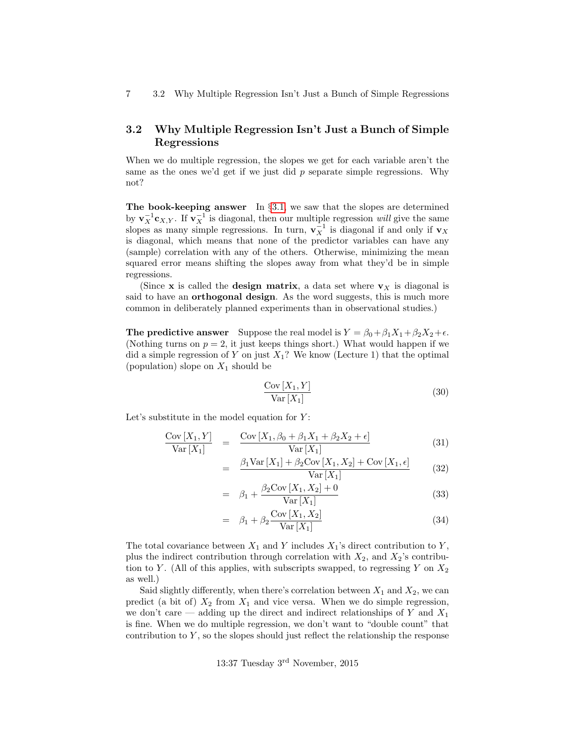7 3.2 Why Multiple Regression Isn't Just a Bunch of Simple Regressions

## <span id="page-6-0"></span>3.2 Why Multiple Regression Isn't Just a Bunch of Simple Regressions

When we do multiple regression, the slopes we get for each variable aren't the same as the ones we'd get if we just did  $p$  separate simple regressions. Why not?

The book-keeping answer In §[3.1,](#page-4-0) we saw that the slopes are determined by  $\mathbf{v}_X^{-1}\mathbf{c}_{X,Y}$ . If  $\mathbf{v}_X^{-1}$  is diagonal, then our multiple regression will give the same slopes as many simple regressions. In turn,  $\mathbf{v}_X^{-1}$  is diagonal if and only if  $\mathbf{v}_X$ is diagonal, which means that none of the predictor variables can have any (sample) correlation with any of the others. Otherwise, minimizing the mean squared error means shifting the slopes away from what they'd be in simple regressions.

(Since x is called the design matrix, a data set where  $v<sub>X</sub>$  is diagonal is said to have an **orthogonal design**. As the word suggests, this is much more common in deliberately planned experiments than in observational studies.)

The predictive answer Suppose the real model is  $Y = \beta_0 + \beta_1 X_1 + \beta_2 X_2 + \epsilon$ . (Nothing turns on  $p = 2$ , it just keeps things short.) What would happen if we did a simple regression of Y on just  $X_1$ ? We know (Lecture 1) that the optimal (population) slope on  $X_1$  should be

$$
\frac{\text{Cov}[X_1, Y]}{\text{Var}[X_1]}
$$
\n(30)

Let's substitute in the model equation for  $Y$ :

$$
\frac{\text{Cov}[X_1, Y]}{\text{Var}[X_1]} = \frac{\text{Cov}[X_1, \beta_0 + \beta_1 X_1 + \beta_2 X_2 + \epsilon]}{\text{Var}[X_1]}
$$
(31)

$$
= \frac{\beta_1 \text{Var}\left[X_1\right] + \beta_2 \text{Cov}\left[X_1, X_2\right] + \text{Cov}\left[X_1, \epsilon\right]}{\text{Var}\left[X_1\right]} \tag{32}
$$

$$
= \beta_1 + \frac{\beta_2 \text{Cov}[X_1, X_2] + 0}{\text{Var}[X_1]}
$$
(33)

$$
= \beta_1 + \beta_2 \frac{\text{Cov}[X_1, X_2]}{\text{Var}[X_1]}
$$
\n(34)

The total covariance between  $X_1$  and Y includes  $X_1$ 's direct contribution to Y, plus the indirect contribution through correlation with  $X_2$ , and  $X_2$ 's contribution to Y. (All of this applies, with subscripts swapped, to regressing Y on  $X_2$ as well.)

Said slightly differently, when there's correlation between  $X_1$  and  $X_2$ , we can predict (a bit of)  $X_2$  from  $X_1$  and vice versa. When we do simple regression, we don't care — adding up the direct and indirect relationships of Y and  $X_1$ is fine. When we do multiple regression, we don't want to "double count" that contribution to  $Y$ , so the slopes should just reflect the relationship the response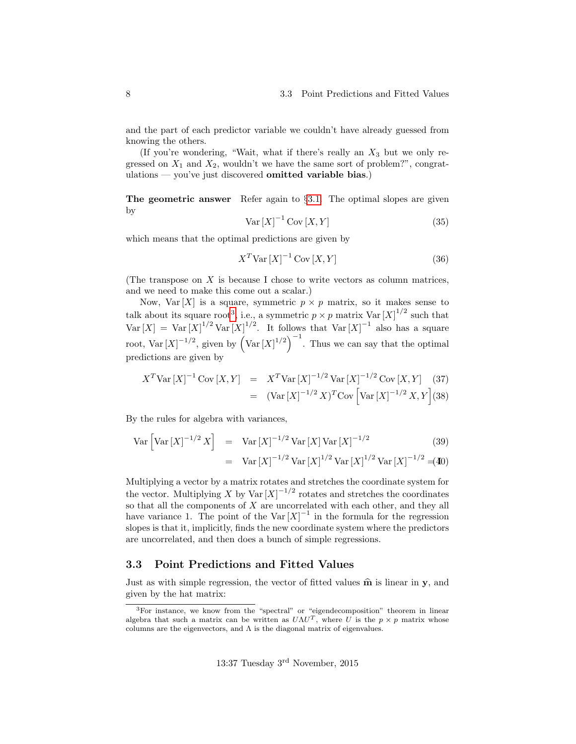and the part of each predictor variable we couldn't have already guessed from knowing the others.

(If you're wondering, "Wait, what if there's really an  $X_3$  but we only regressed on  $X_1$  and  $X_2$ , wouldn't we have the same sort of problem?", congratulations — you've just discovered omitted variable bias.)

The geometric answer Refer again to §[3.1.](#page-4-0) The optimal slopes are given by

$$
\text{Var}\left[X\right]^{-1}\text{Cov}\left[X,Y\right] \tag{35}
$$

which means that the optimal predictions are given by

$$
X^T \text{Var}\left[X\right]^{-1} \text{Cov}\left[X, Y\right] \tag{36}
$$

(The transpose on  $X$  is because I chose to write vectors as column matrices, and we need to make this come out a scalar.)

Now, Var  $[X]$  is a square, symmetric  $p \times p$  matrix, so it makes sense to talk about its square root<sup>[3](#page-7-1)</sup>, i.e., a symmetric  $p \times p$  matrix  $Var[X]^{1/2}$  such that  $\text{Var}[X] = \text{Var}[X]^{1/2} \text{Var}[X]^{1/2}$ . It follows that  $\text{Var}[X]^{-1}$  also has a square root,  $Var[X]^{-1/2}$ , given by  $\left(Var[X]^{1/2}\right)^{-1}$ . Thus we can say that the optimal predictions are given by

$$
X^T \text{Var}\left[X\right]^{-1} \text{Cov}\left[X, Y\right] = X^T \text{Var}\left[X\right]^{-1/2} \text{Var}\left[X\right]^{-1/2} \text{Cov}\left[X, Y\right] \tag{37}
$$

$$
= (\text{Var}\left[X\right]^{-1/2} X)^T \text{Cov}\left[\text{Var}\left[X\right]^{-1/2} X, Y\right] \tag{38}
$$

By the rules for algebra with variances,

$$
\text{Var}\left[\text{Var}\left[X\right]^{-1/2}X\right] = \text{Var}\left[X\right]^{-1/2}\text{Var}\left[X\right]\text{Var}\left[X\right]^{-1/2} \tag{39}
$$
\n
$$
= \text{Var}\left[X\right]^{-1/2}\text{Var}\left[X\right]^{1/2}\text{Var}\left[X\right]^{1/2}\text{Var}\left[X\right]^{-1/2} = \text{(40)}
$$

Multiplying a vector by a matrix rotates and stretches the coordinate system for the vector. Multiplying X by Var $[X]^{-1/2}$  rotates and stretches the coordinates so that all the components of  $X$  are uncorrelated with each other, and they all have variance 1. The point of the Var $[X]^{-1}$  in the formula for the regression slopes is that it, implicitly, finds the new coordinate system where the predictors are uncorrelated, and then does a bunch of simple regressions.

#### <span id="page-7-0"></span>3.3 Point Predictions and Fitted Values

Just as with simple regression, the vector of fitted values  $\hat{\mathbf{m}}$  is linear in y, and given by the hat matrix:

<span id="page-7-1"></span><sup>3</sup>For instance, we know from the "spectral" or "eigendecomposition" theorem in linear algebra that such a matrix can be written as  $U\Lambda U^T$ , where U is the  $p \times p$  matrix whose columns are the eigenvectors, and  $\Lambda$  is the diagonal matrix of eigenvalues.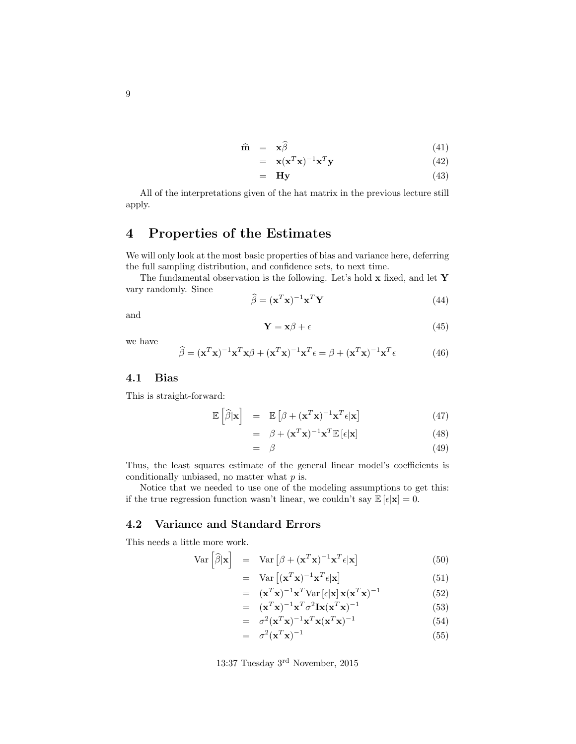$$
\widehat{\mathbf{m}} = \mathbf{x}\widehat{\beta} \tag{41}
$$

$$
= \mathbf{x}(\mathbf{x}^T \mathbf{x})^{-1} \mathbf{x}^T \mathbf{y} \tag{42}
$$

$$
= \tHy \t(43)
$$

All of the interpretations given of the hat matrix in the previous lecture still apply.

# <span id="page-8-0"></span>4 Properties of the Estimates

We will only look at the most basic properties of bias and variance here, deferring the full sampling distribution, and confidence sets, to next time.

The fundamental observation is the following. Let's hold  ${\bf x}$  fixed, and let  ${\bf Y}$ vary randomly. Since

$$
\widehat{\beta} = (\mathbf{x}^T \mathbf{x})^{-1} \mathbf{x}^T \mathbf{Y} \tag{44}
$$

and

$$
\mathbf{Y} = \mathbf{x}\beta + \epsilon \tag{45}
$$

we have

$$
\widehat{\beta} = (\mathbf{x}^T \mathbf{x})^{-1} \mathbf{x}^T \mathbf{x} \beta + (\mathbf{x}^T \mathbf{x})^{-1} \mathbf{x}^T \epsilon = \beta + (\mathbf{x}^T \mathbf{x})^{-1} \mathbf{x}^T \epsilon
$$
 (46)

#### <span id="page-8-1"></span>4.1 Bias

This is straight-forward:

$$
\mathbb{E}\left[\widehat{\beta}|\mathbf{x}\right] = \mathbb{E}\left[\beta + (\mathbf{x}^T \mathbf{x})^{-1} \mathbf{x}^T \epsilon|\mathbf{x}\right]
$$
 (47)

$$
= \beta + (\mathbf{x}^T \mathbf{x})^{-1} \mathbf{x}^T \mathbb{E} \left[ \epsilon | \mathbf{x} \right]
$$
 (48)

$$
= \beta \tag{49}
$$

Thus, the least squares estimate of the general linear model's coefficients is conditionally unbiased, no matter what  $p$  is.

Notice that we needed to use one of the modeling assumptions to get this: if the true regression function wasn't linear, we couldn't say  $\mathbb{E}[\epsilon|\mathbf{x}] = 0$ .

## <span id="page-8-2"></span>4.2 Variance and Standard Errors

This needs a little more work.

$$
Var\left[\widehat{\beta}|\mathbf{x}\right] = Var\left[\beta + (\mathbf{x}^T \mathbf{x})^{-1} \mathbf{x}^T \epsilon|\mathbf{x}\right]
$$
(50)

$$
= \operatorname{Var} \left[ (\mathbf{x}^T \mathbf{x})^{-1} \mathbf{x}^T \boldsymbol{\epsilon} | \mathbf{x} \right] \tag{51}
$$

$$
= (\mathbf{x}^T \mathbf{x})^{-1} \mathbf{x}^T \text{Var} \left[ \epsilon | \mathbf{x} \right] \mathbf{x} (\mathbf{x}^T \mathbf{x})^{-1} \tag{52}
$$

$$
= (\mathbf{x}^T \mathbf{x})^{-1} \mathbf{x}^T \sigma^2 \mathbf{I} \mathbf{x} (\mathbf{x}^T \mathbf{x})^{-1}
$$
(53)

$$
= \sigma^2 (\mathbf{x}^T \mathbf{x})^{-1} \mathbf{x}^T \mathbf{x} (\mathbf{x}^T \mathbf{x})^{-1}
$$
 (54)

$$
= \sigma^2 (\mathbf{x}^T \mathbf{x})^{-1} \tag{55}
$$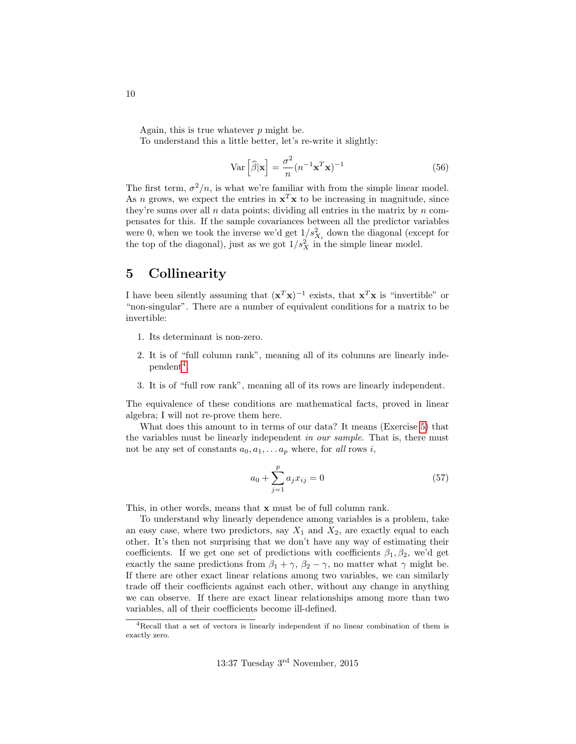Again, this is true whatever  $p$  might be.

To understand this a little better, let's re-write it slightly:

$$
\text{Var}\left[\hat{\beta}|\mathbf{x}\right] = \frac{\sigma^2}{n} (n^{-1}\mathbf{x}^T \mathbf{x})^{-1} \tag{56}
$$

The first term,  $\sigma^2/n$ , is what we're familiar with from the simple linear model. As *n* grows, we expect the entries in  $x^T x$  to be increasing in magnitude, since they're sums over all  $n$  data points; dividing all entries in the matrix by  $n$  compensates for this. If the sample covariances between all the predictor variables were 0, when we took the inverse we'd get  $1/s_{X_i}^2$  down the diagonal (except for the top of the diagonal), just as we got  $1/s_X^2$  in the simple linear model.

## <span id="page-9-0"></span>5 Collinearity

I have been silently assuming that  $(\mathbf{x}^T \mathbf{x})^{-1}$  exists, that  $\mathbf{x}^T \mathbf{x}$  is "invertible" or "non-singular". There are a number of equivalent conditions for a matrix to be invertible:

- 1. Its determinant is non-zero.
- 2. It is of "full column rank", meaning all of its columns are linearly inde- $pendent<sup>4</sup>.$  $pendent<sup>4</sup>.$  $pendent<sup>4</sup>.$
- 3. It is of "full row rank", meaning all of its rows are linearly independent.

The equivalence of these conditions are mathematical facts, proved in linear algebra; I will not re-prove them here.

What does this amount to in terms of our data? It means (Exercise [5\)](#page-14-4) that the variables must be linearly independent in our sample. That is, there must not be any set of constants  $a_0, a_1, \ldots a_p$  where, for all rows i,

$$
a_0 + \sum_{j=1}^{p} a_j x_{ij} = 0
$$
 (57)

This, in other words, means that x must be of full column rank.

To understand why linearly dependence among variables is a problem, take an easy case, where two predictors, say  $X_1$  and  $X_2$ , are exactly equal to each other. It's then not surprising that we don't have any way of estimating their coefficients. If we get one set of predictions with coefficients  $\beta_1, \beta_2$ , we'd get exactly the same predictions from  $\beta_1 + \gamma$ ,  $\beta_2 - \gamma$ , no matter what  $\gamma$  might be. If there are other exact linear relations among two variables, we can similarly trade off their coefficients against each other, without any change in anything we can observe. If there are exact linear relationships among more than two variables, all of their coefficients become ill-defined.

<span id="page-9-1"></span><sup>4</sup>Recall that a set of vectors is linearly independent if no linear combination of them is exactly zero.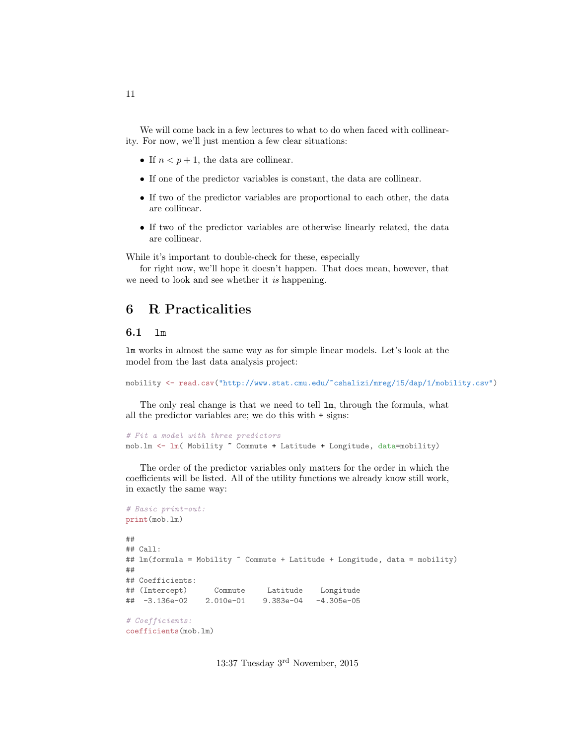We will come back in a few lectures to what to do when faced with collinearity. For now, we'll just mention a few clear situations:

- If  $n < p + 1$ , the data are collinear.
- If one of the predictor variables is constant, the data are collinear.
- If two of the predictor variables are proportional to each other, the data are collinear.
- If two of the predictor variables are otherwise linearly related, the data are collinear.

While it's important to double-check for these, especially

for right now, we'll hope it doesn't happen. That does mean, however, that we need to look and see whether it is happening.

# <span id="page-10-0"></span>6 R Practicalities

### <span id="page-10-1"></span>6.1 lm

lm works in almost the same way as for simple linear models. Let's look at the model from the last data analysis project:

mobility <- read.csv("http://www.stat.cmu.edu/~cshalizi/mreg/15/dap/1/mobility.csv")

The only real change is that we need to tell lm, through the formula, what all the predictor variables are; we do this with + signs:

```
# Fit a model with three predictors
mob.lm <- lm( Mobility ~ Commute + Latitude + Longitude, data=mobility)
```
The order of the predictor variables only matters for the order in which the coefficients will be listed. All of the utility functions we already know still work, in exactly the same way:

```
# Basic print-out:
print(mob.lm)
##
## Call:
## lm(formula = Mobility ~ Commute + Latitude + Longitude, data = mobility)
##
## Coefficients:
## (Intercept) Commute Latitude Longitude
## -3.136e-02 2.010e-01 9.383e-04 -4.305e-05
# Coefficients:
coefficients(mob.lm)
```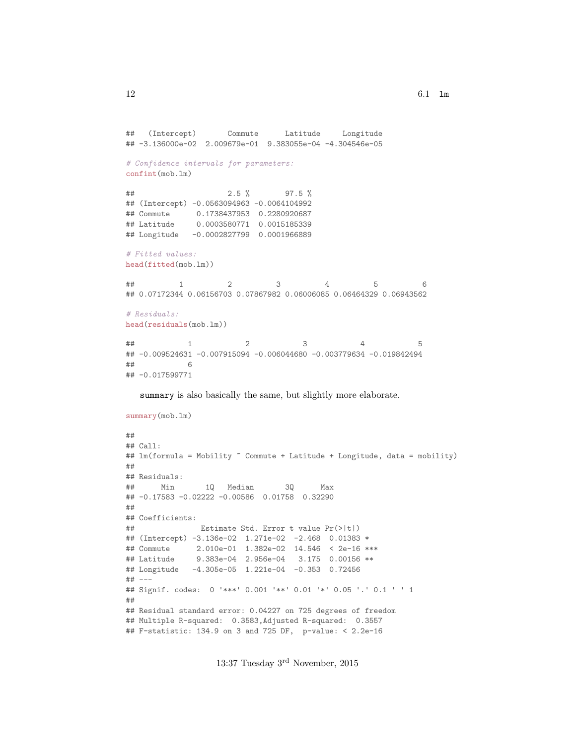```
## (Intercept) Commute Latitude Longitude
## -3.136000e-02 2.009679e-01 9.383055e-04 -4.304546e-05
# Confidence intervals for parameters:
confint(mob.lm)
## 2.5 % 97.5 %
## (Intercept) -0.0563094963 -0.0064104992
## Commute 0.1738437953 0.2280920687
## Latitude 0.0003580771 0.0015185339
## Longitude -0.0002827799 0.0001966889
# Fitted values:
head(fitted(mob.lm))
## 1 2 3 4 5 6
## 0.07172344 0.06156703 0.07867982 0.06006085 0.06464329 0.06943562
# Residuals:
head(residuals(mob.lm))
## 1 2 3 4 5
## -0.009524631 -0.007915094 -0.006044680 -0.003779634 -0.019842494
## 6
## -0.017599771
```
summary is also basically the same, but slightly more elaborate.

```
summary(mob.lm)
##
## Call:
## lm(formula = Mobility ~ Commute + Latitude + Longitude, data = mobility)
##
## Residuals:
## Min 1Q Median 3Q Max
## -0.17583 -0.02222 -0.00586 0.01758 0.32290
##
## Coefficients:
## Estimate Std. Error t value Pr(>|t|)
## (Intercept) -3.136e-02 1.271e-02 -2.468 0.01383 *
## Commute 2.010e-01 1.382e-02 14.546 < 2e-16 ***
## Latitude 9.383e-04 2.956e-04 3.175 0.00156 **
## Longitude -4.305e-05 1.221e-04 -0.353 0.72456
## ---
## Signif. codes: 0 '***' 0.001 '**' 0.01 '*' 0.05 '.' 0.1 ' ' 1
##
## Residual standard error: 0.04227 on 725 degrees of freedom
## Multiple R-squared: 0.3583,Adjusted R-squared: 0.3557
## F-statistic: 134.9 on 3 and 725 DF, p-value: < 2.2e-16
```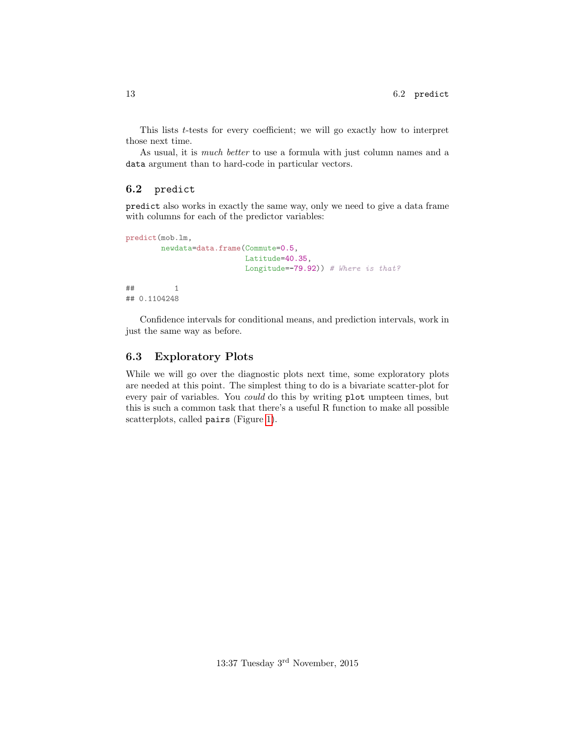This lists t-tests for every coefficient; we will go exactly how to interpret those next time.

As usual, it is much better to use a formula with just column names and a data argument than to hard-code in particular vectors.

#### <span id="page-12-0"></span>6.2 predict

predict also works in exactly the same way, only we need to give a data frame with columns for each of the predictor variables:

```
predict(mob.lm,
       newdata=data.frame(Commute=0.5,
                         Latitude=40.35,
                         Longitude=-79.92) # Where is that?
## 1
## 0.1104248
```
Confidence intervals for conditional means, and prediction intervals, work in just the same way as before.

### <span id="page-12-1"></span>6.3 Exploratory Plots

While we will go over the diagnostic plots next time, some exploratory plots are needed at this point. The simplest thing to do is a bivariate scatter-plot for every pair of variables. You could do this by writing plot umpteen times, but this is such a common task that there's a useful R function to make all possible scatterplots, called pairs (Figure [1\)](#page-13-0).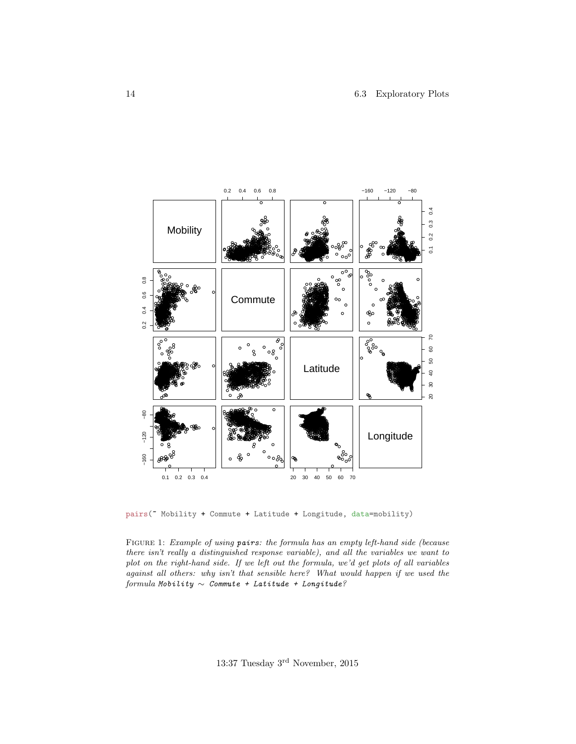<span id="page-13-0"></span>

pairs("Mobility + Commute + Latitude + Longitude, data=mobility)

FIGURE 1: Example of using pairs: the formula has an empty left-hand side (because there isn't really a distinguished response variable), and all the variables we want to plot on the right-hand side. If we left out the formula, we'd get plots of all variables against all others: why isn't that sensible here? What would happen if we used the formula Mobility  $\sim$  Commute + Latitude + Longitude?

13:37 Tuesday  $3^{\text{rd}}$  November, 2015